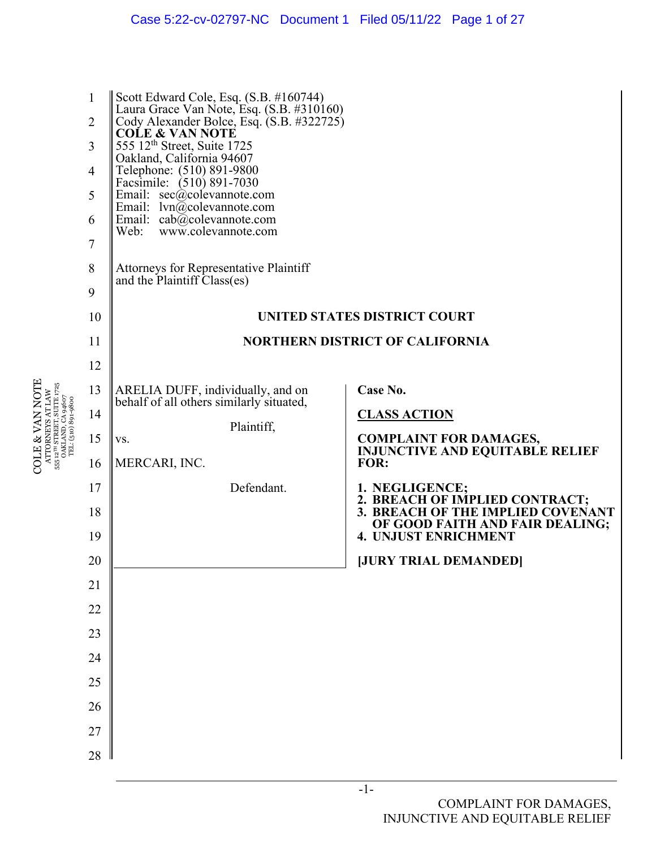

COLE & VAN NOTE ATTORNEYS AT LAW 555 12TH STREET, SUITE 1725

**COLE & VAN NOTE** 

-1-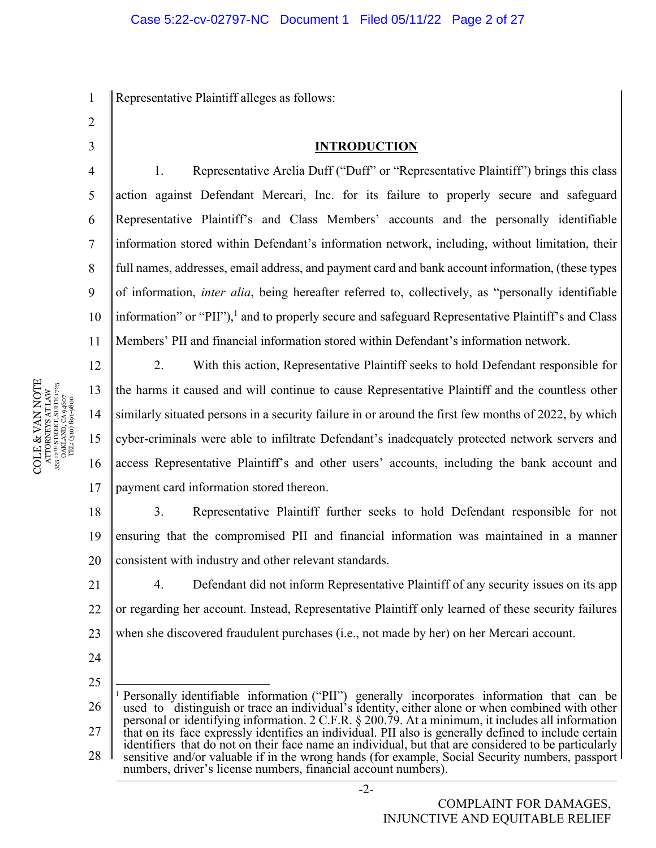1 Representative Plaintiff alleges as follows:

- 2
- 3

4

5

6

7

8

9

12

17

#### **INTRODUCTION**

10 11 1. Representative Arelia Duff ("Duff" or "Representative Plaintiff") brings this class action against Defendant Mercari, Inc. for its failure to properly secure and safeguard Representative Plaintiff's and Class Members' accounts and the personally identifiable information stored within Defendant's information network, including, without limitation, their full names, addresses, email address, and payment card and bank account information, (these types of information, *inter alia*, being hereafter referred to, collectively, as "personally identifiable information" or "PII"),<sup>1</sup> and to properly secure and safeguard Representative Plaintiff's and Class Members' PII and financial information stored within Defendant's information network.

2. With this action, Representative Plaintiff seeks to hold Defendant responsible for the harms it caused and will continue to cause Representative Plaintiff and the countless other similarly situated persons in a security failure in or around the first few months of 2022, by which cyber-criminals were able to infiltrate Defendant's inadequately protected network servers and access Representative Plaintiff's and other users' accounts, including the bank account and payment card information stored thereon.

18 19 20 3. Representative Plaintiff further seeks to hold Defendant responsible for not ensuring that the compromised PII and financial information was maintained in a manner consistent with industry and other relevant standards.

21 22 23 4. Defendant did not inform Representative Plaintiff of any security issues on its app or regarding her account. Instead, Representative Plaintiff only learned of these security failures when she discovered fraudulent purchases (i.e., not made by her) on her Mercari account.

24

25

26 27 28 1 Personally identifiable information ("PII") generally incorporates information that can be used to distinguish or trace an individual's identity, either alone or when combined with other personal or identifying information. 2 C.F.R. § 200.79. At a minimum, it includes all information that on its face expressly identifies an individual. PII also is generally defined to include certain identifiers that do not on their face name an individual, but that are considered to be particularly sensitive and/or valuable if in the wrong hands (for example, Social Security numbers, passport numbers, driver's license numbers, financial account numbers).

-2-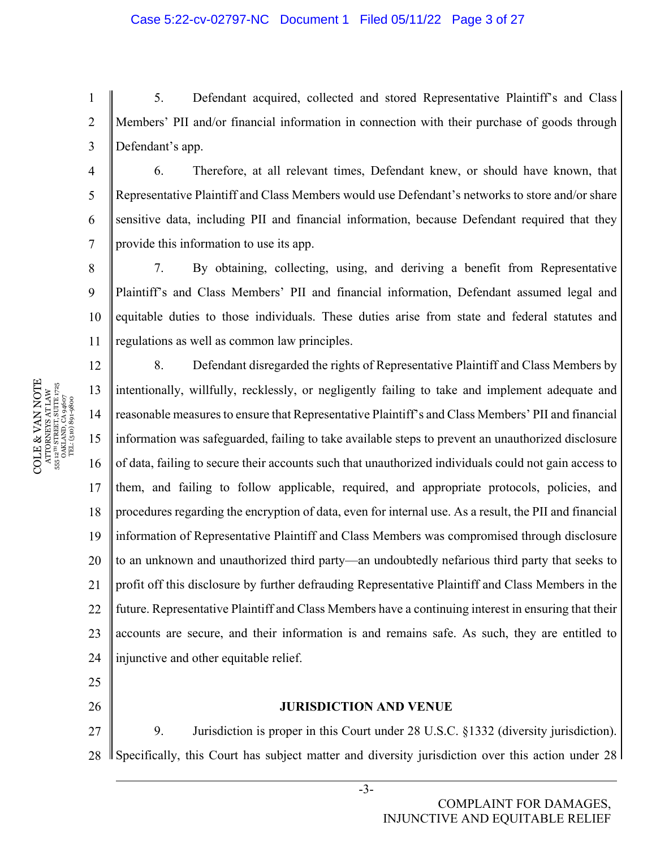1 2 3 5. Defendant acquired, collected and stored Representative Plaintiff's and Class Members' PII and/or financial information in connection with their purchase of goods through Defendant's app.

6. Therefore, at all relevant times, Defendant knew, or should have known, that Representative Plaintiff and Class Members would use Defendant's networks to store and/or share sensitive data, including PII and financial information, because Defendant required that they provide this information to use its app.

8 9 10 11 7. By obtaining, collecting, using, and deriving a benefit from Representative Plaintiff's and Class Members' PII and financial information, Defendant assumed legal and equitable duties to those individuals. These duties arise from state and federal statutes and regulations as well as common law principles.

12 13 14 15 16 17 18 19 20 21 22 23 24 8. Defendant disregarded the rights of Representative Plaintiff and Class Members by intentionally, willfully, recklessly, or negligently failing to take and implement adequate and reasonable measures to ensure that Representative Plaintiff's and Class Members' PII and financial information was safeguarded, failing to take available steps to prevent an unauthorized disclosure of data, failing to secure their accounts such that unauthorized individuals could not gain access to them, and failing to follow applicable, required, and appropriate protocols, policies, and procedures regarding the encryption of data, even for internal use. As a result, the PII and financial information of Representative Plaintiff and Class Members was compromised through disclosure to an unknown and unauthorized third party—an undoubtedly nefarious third party that seeks to profit off this disclosure by further defrauding Representative Plaintiff and Class Members in the future. Representative Plaintiff and Class Members have a continuing interest in ensuring that their accounts are secure, and their information is and remains safe. As such, they are entitled to injunctive and other equitable relief.

25 26

#### **JURISDICTION AND VENUE**

27 28 9. Jurisdiction is proper in this Court under 28 U.S.C. §1332 (diversity jurisdiction). Specifically, this Court has subject matter and diversity jurisdiction over this action under 28

 $\begin{array}{c} \text{COLE} \& \text{VAN NOTE} \\\text{ATTORNENS AT LAW} \\\text{s5: } \text{a}^{\text{un} \text{SRREITS}} \text{ SUTE} \text{ J75} \\\text{s5: } \text{a}^{\text{un} \text{SRREITS}} \text{ SUTE} \text{ J75} \\\text{s5: } \text{a}^{\text{un} \text{S}} \text{J81} \text{J83} \text{J4607} \\\text{TL} \\\text{s1: } \text{G1: } \text{G1: } \text{G2: } \text{G3: } \text{G4: } \text{G5: } \text{G$ COLE & VAN NOTE 555 12TH STREET, SUITE 1725 ATTORNEYS AT LAW OAKLAND, CA 94607 TEL: (510) 891-9800 4

5

6

7

-3-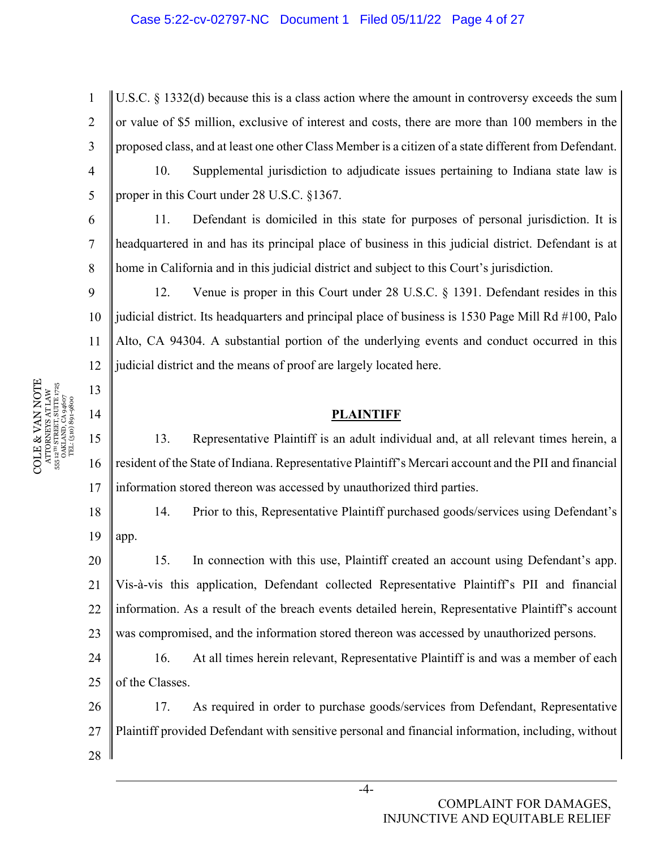#### Case 5:22-cv-02797-NC Document 1 Filed 05/11/22 Page 4 of 27

1 2 3 U.S.C. § 1332(d) because this is a class action where the amount in controversy exceeds the sum or value of \$5 million, exclusive of interest and costs, there are more than 100 members in the proposed class, and at least one other Class Member is a citizen of a state different from Defendant.

10. Supplemental jurisdiction to adjudicate issues pertaining to Indiana state law is proper in this Court under 28 U.S.C. §1367.

11. Defendant is domiciled in this state for purposes of personal jurisdiction. It is headquartered in and has its principal place of business in this judicial district. Defendant is at home in California and in this judicial district and subject to this Court's jurisdiction.

10 11 12 12. Venue is proper in this Court under 28 U.S.C. § 1391. Defendant resides in this judicial district. Its headquarters and principal place of business is 1530 Page Mill Rd #100, Palo Alto, CA 94304. A substantial portion of the underlying events and conduct occurred in this judicial district and the means of proof are largely located here.

#### **PLAINTIFF**

13. Representative Plaintiff is an adult individual and, at all relevant times herein, a resident of the State of Indiana. Representative Plaintiff's Mercari account and the PII and financial information stored thereon was accessed by unauthorized third parties.

18 19 14. Prior to this, Representative Plaintiff purchased goods/services using Defendant's app.

20 21 22 23 15. In connection with this use, Plaintiff created an account using Defendant's app. Vis-à-vis this application, Defendant collected Representative Plaintiff's PII and financial information. As a result of the breach events detailed herein, Representative Plaintiff's account was compromised, and the information stored thereon was accessed by unauthorized persons.

24 25 16. At all times herein relevant, Representative Plaintiff is and was a member of each of the Classes.

26 27 28 17. As required in order to purchase goods/services from Defendant, Representative Plaintiff provided Defendant with sensitive personal and financial information, including, without

COLE & VAN NOTE  $\begin{array}{c} {\text{ATTORNEXS AT LAW}} \\ 555 \text{ } 12^{\text{7H}} \text{ } \text{STRERT, } \text{SUTE } 1725 \\ \text{OAKLAND, CA 94607} \\ \text{TEL: (510) 891-9800} \end{array}$ COLE & VAN NOTE 555 12TH STREET, SUITE 1725 ATTORNEYS AT LAW OAKLAND, CA 94607 TEL: (510) 891-9800 555

4

5

6

7

8

9

13

14

15

16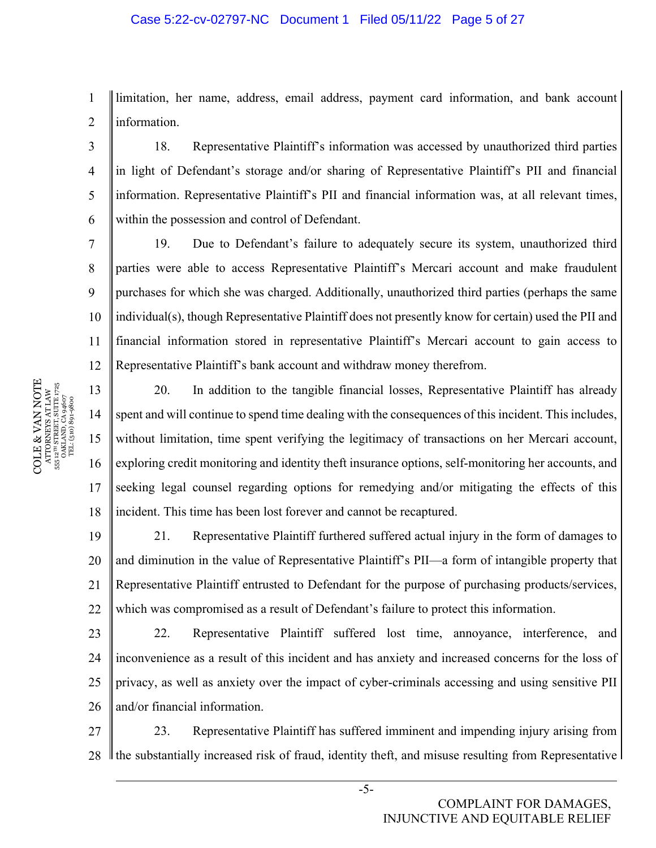#### Case 5:22-cv-02797-NC Document 1 Filed 05/11/22 Page 5 of 27

1 2 limitation, her name, address, email address, payment card information, and bank account information.

18. Representative Plaintiff's information was accessed by unauthorized third parties in light of Defendant's storage and/or sharing of Representative Plaintiff's PII and financial information. Representative Plaintiff's PII and financial information was, at all relevant times, within the possession and control of Defendant.

10 11 12 19. Due to Defendant's failure to adequately secure its system, unauthorized third parties were able to access Representative Plaintiff's Mercari account and make fraudulent purchases for which she was charged. Additionally, unauthorized third parties (perhaps the same individual(s), though Representative Plaintiff does not presently know for certain) used the PII and financial information stored in representative Plaintiff's Mercari account to gain access to Representative Plaintiff's bank account and withdraw money therefrom.

13 16 18 20. In addition to the tangible financial losses, Representative Plaintiff has already spent and will continue to spend time dealing with the consequences of this incident. This includes, without limitation, time spent verifying the legitimacy of transactions on her Mercari account, exploring credit monitoring and identity theft insurance options, self-monitoring her accounts, and seeking legal counsel regarding options for remedying and/or mitigating the effects of this incident. This time has been lost forever and cannot be recaptured.

19 20 21 22 21. Representative Plaintiff furthered suffered actual injury in the form of damages to and diminution in the value of Representative Plaintiff's PII—a form of intangible property that Representative Plaintiff entrusted to Defendant for the purpose of purchasing products/services, which was compromised as a result of Defendant's failure to protect this information.

23 24 25 26 22. Representative Plaintiff suffered lost time, annoyance, interference, and inconvenience as a result of this incident and has anxiety and increased concerns for the loss of privacy, as well as anxiety over the impact of cyber-criminals accessing and using sensitive PII and/or financial information.

27 28 23. Representative Plaintiff has suffered imminent and impending injury arising from If the substantially increased risk of fraud, identity theft, and misuse resulting from Representative

 $\begin{array}{c} \text{COLE} \& \text{VAN NOTE} \\\text{ATTORNENS AT LAW} \\\text{s5: } \text{a}^{\text{un} \text{SRREITS}} \text{ SUTE} \text{ J75} \\\text{s5: } \text{a}^{\text{un} \text{SRREITS}} \text{ SUTE} \text{ J75} \\\text{s5: } \text{a}^{\text{un} \text{S}} \text{J81} \text{J83} \text{J4607} \\\text{TL} \\\text{s1: } \text{G1: } \text{G1: } \text{G2: } \text{G3: } \text{G4: } \text{G5: } \text{G$ COLE & VAN NOTE 555 12TH STREET, SUITE 1725 ATTORNEYS AT LAW OAKLAND, CA 94607 TEL: (510) 891-9800 3

4

5

6

7

8

9

14

15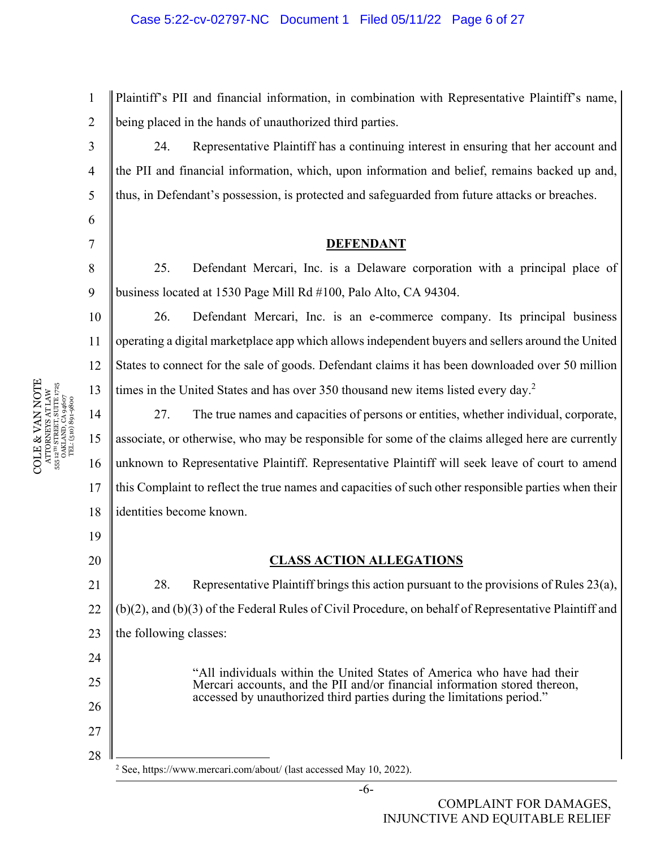#### Case 5:22-cv-02797-NC Document 1 Filed 05/11/22 Page 6 of 27

1 2 Plaintiff's PII and financial information, in combination with Representative Plaintiff's name, being placed in the hands of unauthorized third parties.

24. Representative Plaintiff has a continuing interest in ensuring that her account and the PII and financial information, which, upon information and belief, remains backed up and, thus, in Defendant's possession, is protected and safeguarded from future attacks or breaches.

#### **DEFENDANT**

25. Defendant Mercari, Inc. is a Delaware corporation with a principal place of business located at 1530 Page Mill Rd #100, Palo Alto, CA 94304.

26. Defendant Mercari, Inc. is an e-commerce company. Its principal business operating a digital marketplace app which allows independent buyers and sellers around the United States to connect for the sale of goods. Defendant claims it has been downloaded over 50 million times in the United States and has over 350 thousand new items listed every day.<sup>2</sup>

27. The true names and capacities of persons or entities, whether individual, corporate, associate, or otherwise, who may be responsible for some of the claims alleged here are currently unknown to Representative Plaintiff. Representative Plaintiff will seek leave of court to amend this Complaint to reflect the true names and capacities of such other responsible parties when their identities become known.

#### **CLASS ACTION ALLEGATIONS**

21 22 23 28. Representative Plaintiff brings this action pursuant to the provisions of Rules 23(a), (b)(2), and (b)(3) of the Federal Rules of Civil Procedure, on behalf of Representative Plaintiff and the following classes:

> "All individuals within the United States of America who have had their Mercari accounts, and the PII and/or financial information stored thereon, accessed by unauthorized third parties during the limitations period."

> > -6-

COLE & VAN NOTE COLE & VAN NOTE 555 12TH STREET, SUITE 1725  $\begin{array}{l} {\rm ATTORNEXS~AT~LAW} \\ {\rm 55.12^{7H}~STREIT,~SUTTE~1725} \\ {\rm OAKLAND,~CA~9~4607} \\ {\rm TEL:~(510)~891-9800} \end{array}$ 1725 ATTORNEYS AT LAW OAKLAND, CA 94607 TEL: (510) 891-9800 555

3

4

5

6

7

8

9

10

11

12

13

14

15

16

17

18

19

20

24

25

26

27

<sup>&</sup>lt;sup>2</sup> See, https://www.mercari.com/about/ (last accessed May 10, 2022).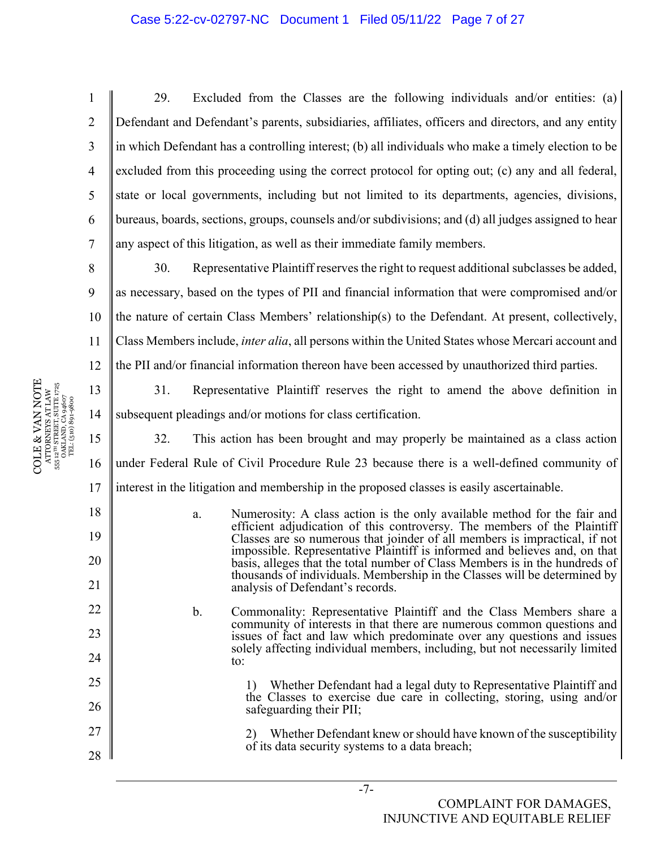#### Case 5:22-cv-02797-NC Document 1 Filed 05/11/22 Page 7 of 27

29. Excluded from the Classes are the following individuals and/or entities: (a) Defendant and Defendant's parents, subsidiaries, affiliates, officers and directors, and any entity in which Defendant has a controlling interest; (b) all individuals who make a timely election to be excluded from this proceeding using the correct protocol for opting out; (c) any and all federal, state or local governments, including but not limited to its departments, agencies, divisions, bureaus, boards, sections, groups, counsels and/or subdivisions; and (d) all judges assigned to hear any aspect of this litigation, as well as their immediate family members.

9 10 11 12 30. Representative Plaintiff reserves the right to request additional subclasses be added, as necessary, based on the types of PII and financial information that were compromised and/or the nature of certain Class Members' relationship(s) to the Defendant. At present, collectively, Class Members include, *inter alia*, all persons within the United States whose Mercari account and the PII and/or financial information thereon have been accessed by unauthorized third parties.

COLE & VAN NOTE  $\begin{array}{c} \text{ATTORNFX 8 AT LAW} \\ \text{555 12}^{\text{th}} \text{STREIST, SUTIE 1725} \\ \text{OKLAND, CA 94607} \\ \text{TEL: (510) 891-9800} \end{array}$ COLE & VAN NOTE 555 12TH STREET, SUITE 1725 ATTORNEYS AT LAW OAKLAND, CA 94607 TEL: (510) 891-9800

1

2

3

4

5

6

7

8

13

14

18

19

20

21

22

23

24

25

26

27

28

31. Representative Plaintiff reserves the right to amend the above definition in subsequent pleadings and/or motions for class certification.

15 16 17 32. This action has been brought and may properly be maintained as a class action under Federal Rule of Civil Procedure Rule 23 because there is a well-defined community of interest in the litigation and membership in the proposed classes is easily ascertainable.

- a. Numerosity: A class action is the only available method for the fair and efficient adjudication of this controversy. The members of the Plaintiff Classes are so numerous that joinder of all members is impractical, if not impossible. Representative Plaintiff is informed and believes and, on that basis, alleges that the total number of Class Members is in the hundreds of thousands of individuals. Membership in the Classes will be determined by analysis of Defendant's records.
- b. Commonality: Representative Plaintiff and the Class Members share a community of interests in that there are numerous common questions and issues of fact and law which predominate over any questions and issues solely affecting individual members, including, but not necessarily limited to:

1) Whether Defendant had a legal duty to Representative Plaintiff and the Classes to exercise due care in collecting, storing, using and/or safeguarding their PII;

2) Whether Defendant knew or should have known of the susceptibility of its data security systems to a data breach;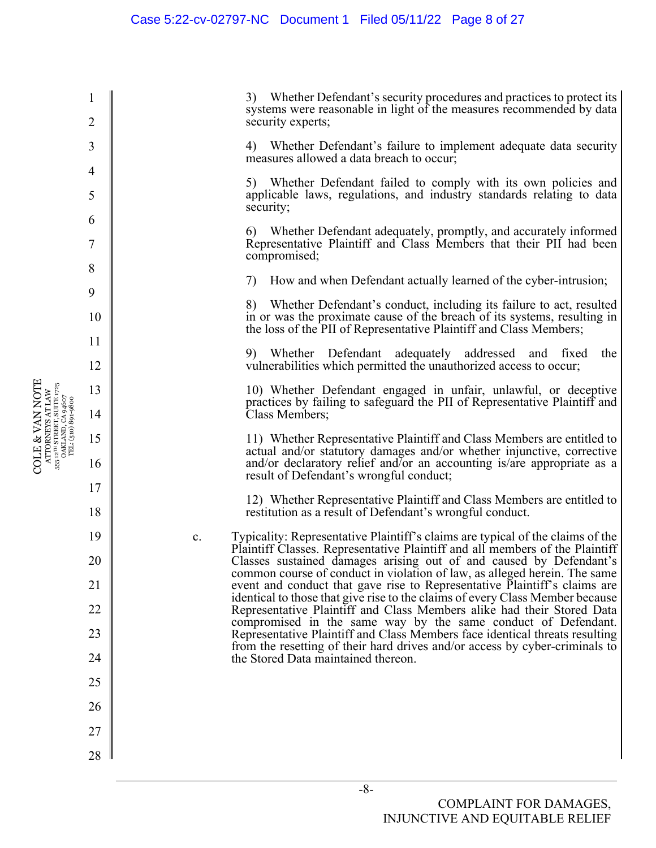3) Whether Defendant's security procedures and practices to protect its systems were reasonable in light of the measures recommended by data security experts;

4) Whether Defendant's failure to implement adequate data security measures allowed a data breach to occur;

5) Whether Defendant failed to comply with its own policies and applicable laws, regulations, and industry standards relating to data security;

6) Whether Defendant adequately, promptly, and accurately informed Representative Plaintiff and Class Members that their PII had been compromised;

7) How and when Defendant actually learned of the cyber-intrusion;

8) Whether Defendant's conduct, including its failure to act, resulted in or was the proximate cause of the breach of its systems, resulting in the loss of the PII of Representative Plaintiff and Class Members;

9) Whether Defendant adequately addressed and fixed the vulnerabilities which permitted the unauthorized access to occur;

10) Whether Defendant engaged in unfair, unlawful, or deceptive practices by failing to safeguard the PII of Representative Plaintiff and Class Members;

11) Whether Representative Plaintiff and Class Members are entitled to actual and/or statutory damages and/or whether injunctive, corrective and/or declaratory relief and/or an accounting is/are appropriate as a result of Defendant's wrongful conduct;

12) Whether Representative Plaintiff and Class Members are entitled to restitution as a result of Defendant's wrongful conduct.

c. Typicality: Representative Plaintiff's claims are typical of the claims of the Plaintiff Classes. Representative Plaintiff and all members of the Plaintiff Classes sustained damages arising out of and caused by Defendant's common course of conduct in violation of law, as alleged herein. The same event and conduct that gave rise to Representative Plaintiff's claims are identical to those that give rise to the claims of every Class Member because Representative Plaintiff and Class Members alike had their Stored Data compromised in the same way by the same conduct of Defendant. Representative Plaintiff and Class Members face identical threats resulting from the resetting of their hard drives and/or access by cyber-criminals to the Stored Data maintained thereon.

1

2

3

4

5

6

7

8

9

10

11

12

13

14

15

16

17

18

19

20

21

22

23

24

25

26

27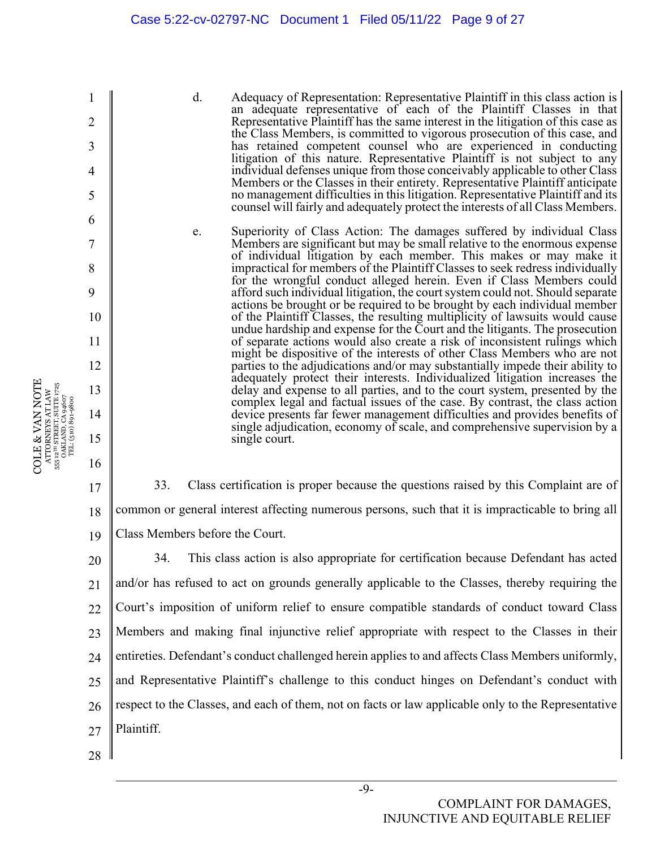#### Case 5:22-cv-02797-NC Document 1 Filed 05/11/22 Page 9 of 27

d. Adequacy of Representation: Representative Plaintiff in this class action is an adequate representative of each of the Plaintiff Classes in that Representative Plaintiff has the same interest in the litigation of this case as the Class Members, is committed to vigorous prosecution of this case, and has retained competent counsel who are experienced in conducting litigation of this nature. Representative Plaintiff is not subject to any individual defenses unique from those conceivably applicable to other Class Members or the Classes in their entirety. Representative Plaintiff anticipate no management difficulties in this litigation. Representative Plaintiff and its counsel will fairly and adequately protect the interests of all Class Members.

e. Superiority of Class Action: The damages suffered by individual Class Members are significant but may be small relative to the enormous expense of individual litigation by each member. This makes or may make it impractical for members of the Plaintiff Classes to seek redress individually for the wrongful conduct alleged herein. Even if Class Members could afford such individual litigation, the court system could not. Should separate actions be brought or be required to be brought by each individual member of the Plaintiff Classes, the resulting multiplicity of lawsuits would cause undue hardship and expense for the Court and the litigants. The prosecution of separate actions would also create a risk of inconsistent rulings which might be dispositive of the interests of other Class Members who are not parties to the adjudications and/or may substantially impede their ability to adequately protect their interests. Individualized litigation increases the delay and expense to all parties, and to the court system, presented by the complex legal and factual issues of the case. By contrast, the class action device presents far fewer management difficulties and provides benefits of single adjudication, economy of scale, and comprehensive supervision by a single court.

17 18 19 33. Class certification is proper because the questions raised by this Complaint are of common or general interest affecting numerous persons, such that it is impracticable to bring all Class Members before the Court.

20 21 22 23 24 25 26 27 34. This class action is also appropriate for certification because Defendant has acted and/or has refused to act on grounds generally applicable to the Classes, thereby requiring the Court's imposition of uniform relief to ensure compatible standards of conduct toward Class Members and making final injunctive relief appropriate with respect to the Classes in their entireties. Defendant's conduct challenged herein applies to and affects Class Members uniformly, and Representative Plaintiff's challenge to this conduct hinges on Defendant's conduct with respect to the Classes, and each of them, not on facts or law applicable only to the Representative Plaintiff.

-9-

28

1

2

3

4

5

6

7

8

9

10

11

12

13

14

15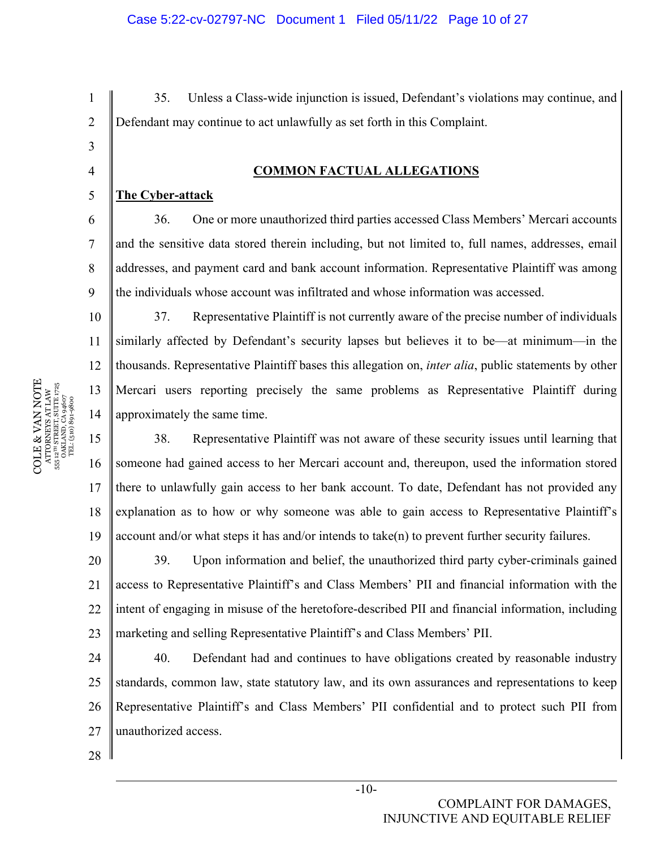35. Unless a Class-wide injunction is issued, Defendant's violations may continue, and Defendant may continue to act unlawfully as set forth in this Complaint.

## **COMMON FACTUAL ALLEGATIONS**

### **The Cyber-attack**

1

2

3

4

5

6

7

8

9

10

11

12

13

14

15

16

17

36. One or more unauthorized third parties accessed Class Members' Mercari accounts and the sensitive data stored therein including, but not limited to, full names, addresses, email addresses, and payment card and bank account information. Representative Plaintiff was among the individuals whose account was infiltrated and whose information was accessed.

37. Representative Plaintiff is not currently aware of the precise number of individuals similarly affected by Defendant's security lapses but believes it to be—at minimum—in the thousands. Representative Plaintiff bases this allegation on, *inter alia*, public statements by other Mercari users reporting precisely the same problems as Representative Plaintiff during approximately the same time.

18 19 38. Representative Plaintiff was not aware of these security issues until learning that someone had gained access to her Mercari account and, thereupon, used the information stored there to unlawfully gain access to her bank account. To date, Defendant has not provided any explanation as to how or why someone was able to gain access to Representative Plaintiff's account and/or what steps it has and/or intends to take(n) to prevent further security failures.

20 21 22 23 39. Upon information and belief, the unauthorized third party cyber-criminals gained access to Representative Plaintiff's and Class Members' PII and financial information with the intent of engaging in misuse of the heretofore-described PII and financial information, including marketing and selling Representative Plaintiff's and Class Members' PII.

24 25 26 27 40. Defendant had and continues to have obligations created by reasonable industry standards, common law, state statutory law, and its own assurances and representations to keep Representative Plaintiff's and Class Members' PII confidential and to protect such PII from unauthorized access.

28

 $\begin{array}{c} \text{COLE} \& \text{VAN NOTE} \\\text{ATTORNENS AT LAW} \\\text{s5: } \text{a}^{\text{un} \text{SRREITS}} \text{ SUTE} \text{ J75} \\\text{s5: } \text{a}^{\text{un} \text{SRREITS}} \text{ SUTE} \text{ J75} \\\text{s5: } \text{a}^{\text{un} \text{S}} \text{J81} \text{J83} \text{J4607} \\\text{TL} \\\text{s1: } \text{G1: } \text{G1: } \text{G2: } \text{G3: } \text{G4: } \text{G5: } \text{G$ COLE & VAN NOTE 555 12TH STREET, SUITE 1725 ATTORNEYS AT LAW OAKLAND, CA 94607 TEL: (510) 891-9800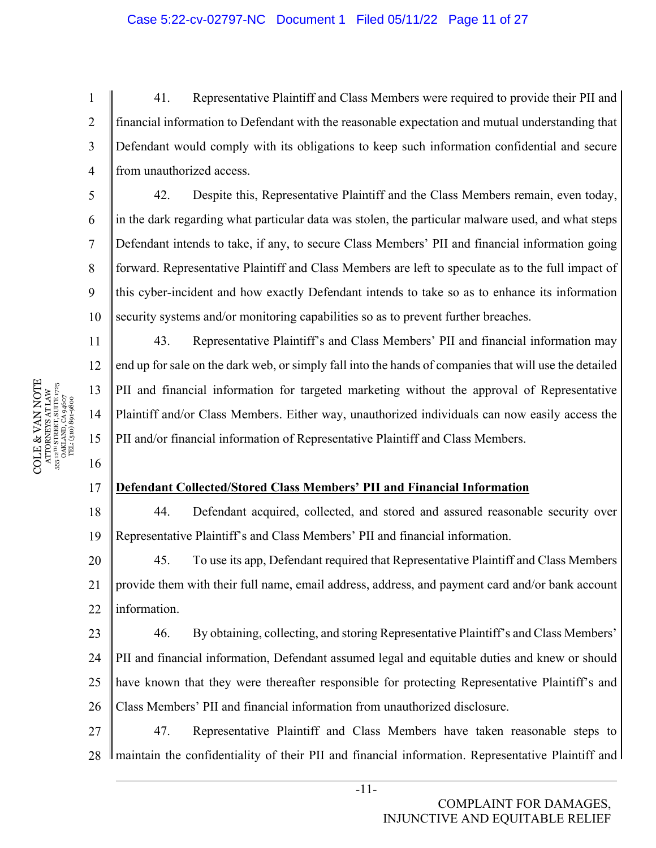4 41. Representative Plaintiff and Class Members were required to provide their PII and financial information to Defendant with the reasonable expectation and mutual understanding that Defendant would comply with its obligations to keep such information confidential and secure from unauthorized access.

10 42. Despite this, Representative Plaintiff and the Class Members remain, even today, in the dark regarding what particular data was stolen, the particular malware used, and what steps Defendant intends to take, if any, to secure Class Members' PII and financial information going forward. Representative Plaintiff and Class Members are left to speculate as to the full impact of this cyber-incident and how exactly Defendant intends to take so as to enhance its information security systems and/or monitoring capabilities so as to prevent further breaches.

43. Representative Plaintiff's and Class Members' PII and financial information may end up for sale on the dark web, or simply fall into the hands of companies that will use the detailed PII and financial information for targeted marketing without the approval of Representative Plaintiff and/or Class Members. Either way, unauthorized individuals can now easily access the PII and/or financial information of Representative Plaintiff and Class Members.

#### 17 **Defendant Collected/Stored Class Members' PII and Financial Information**

18 19 44. Defendant acquired, collected, and stored and assured reasonable security over Representative Plaintiff's and Class Members' PII and financial information.

20 21  $22$ 45. To use its app, Defendant required that Representative Plaintiff and Class Members provide them with their full name, email address, address, and payment card and/or bank account information.

23 24  $25$ 26 46. By obtaining, collecting, and storing Representative Plaintiff's and Class Members' PII and financial information, Defendant assumed legal and equitable duties and knew or should have known that they were thereafter responsible for protecting Representative Plaintiff's and Class Members' PII and financial information from unauthorized disclosure.

27 28 47. Representative Plaintiff and Class Members have taken reasonable steps to I maintain the confidentiality of their PII and financial information. Representative Plaintiff and I

 $\begin{array}{c} \text{COLE} \& \text{VAN NOTE} \\\text{ATTORNENS AT LAW} \\\text{s5: } \text{a}^{\text{un} \text{SRREITS}} \text{ SUTE} \text{ J75} \\\text{s5: } \text{a}^{\text{un} \text{SRREITS}} \text{ SUTE} \text{ J75} \\\text{s5: } \text{a}^{\text{un} \text{S}} \text{J81} \text{J83} \text{J4607} \\\text{TL} \\\text{s1: } \text{G1: } \text{G1: } \text{G2: } \text{G3: } \text{G4: } \text{G5: } \text{G$ COLE & VAN NOTE 555 12TH STREET, SUITE 1725 ATTORNEYS AT LAW OAKLAND, CA 94607 TEL: (510) 891-9800 1

2

3

5

6

7

8

9

11

12

13

14

15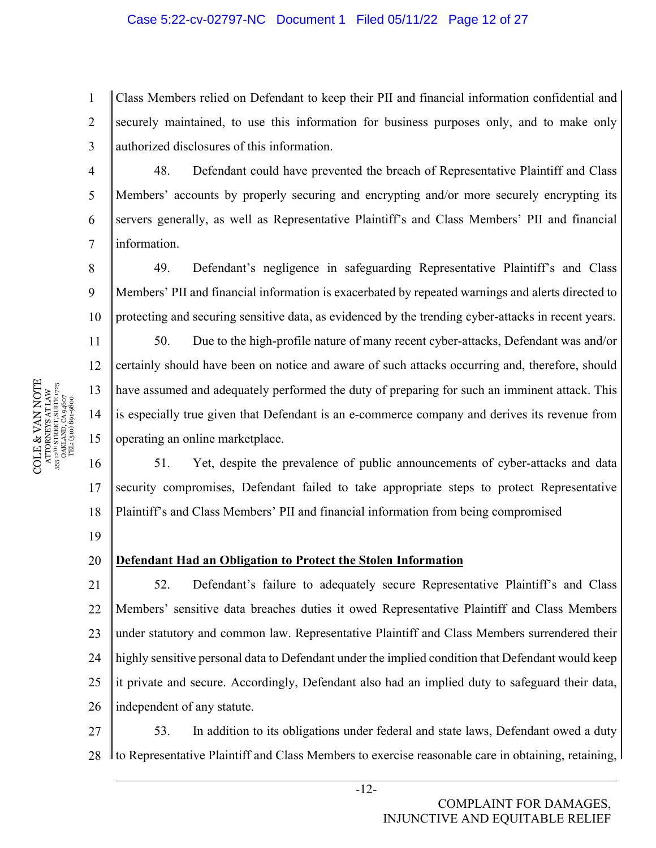#### Case 5:22-cv-02797-NC Document 1 Filed 05/11/22 Page 12 of 27

1 2 3 Class Members relied on Defendant to keep their PII and financial information confidential and securely maintained, to use this information for business purposes only, and to make only authorized disclosures of this information.

48. Defendant could have prevented the breach of Representative Plaintiff and Class Members' accounts by properly securing and encrypting and/or more securely encrypting its servers generally, as well as Representative Plaintiff's and Class Members' PII and financial information.

8 9 10 49. Defendant's negligence in safeguarding Representative Plaintiff's and Class Members' PII and financial information is exacerbated by repeated warnings and alerts directed to protecting and securing sensitive data, as evidenced by the trending cyber-attacks in recent years.

50. Due to the high-profile nature of many recent cyber-attacks, Defendant was and/or certainly should have been on notice and aware of such attacks occurring and, therefore, should have assumed and adequately performed the duty of preparing for such an imminent attack. This is especially true given that Defendant is an e-commerce company and derives its revenue from operating an online marketplace.

16 17 18 51. Yet, despite the prevalence of public announcements of cyber-attacks and data security compromises, Defendant failed to take appropriate steps to protect Representative Plaintiff's and Class Members' PII and financial information from being compromised

19

4

5

6

7

11

12

13

14

15

#### 20 **Defendant Had an Obligation to Protect the Stolen Information**

21 22 23 24 25 26 52. Defendant's failure to adequately secure Representative Plaintiff's and Class Members' sensitive data breaches duties it owed Representative Plaintiff and Class Members under statutory and common law. Representative Plaintiff and Class Members surrendered their highly sensitive personal data to Defendant under the implied condition that Defendant would keep it private and secure. Accordingly, Defendant also had an implied duty to safeguard their data, independent of any statute.

27 28 53. In addition to its obligations under federal and state laws, Defendant owed a duty to Representative Plaintiff and Class Members to exercise reasonable care in obtaining, retaining,

 $\begin{array}{c} \text{COLE} \& \text{VAN NOTE} \\\text{ATTORNENS AT LAW} \\\text{s5: } \text{a}^{\text{un} \text{SRREITS}} \text{ SUTE} \text{ J75} \\\text{s5: } \text{a}^{\text{un} \text{SRREITS}} \text{ SUTE} \text{ J75} \\\text{s5: } \text{a}^{\text{un} \text{S}} \text{J81} \text{J83} \text{J4607} \\\text{TL} \\\text{s1: } \text{G1: } \text{G1: } \text{G2: } \text{G3: } \text{G4: } \text{G5: } \text{G$ COLE & VAN NOTE 555 12TH STREET, SUITE 1725 ATTORNEYS AT LAW OAKLAND, CA 94607 TEL: (510) 891-9800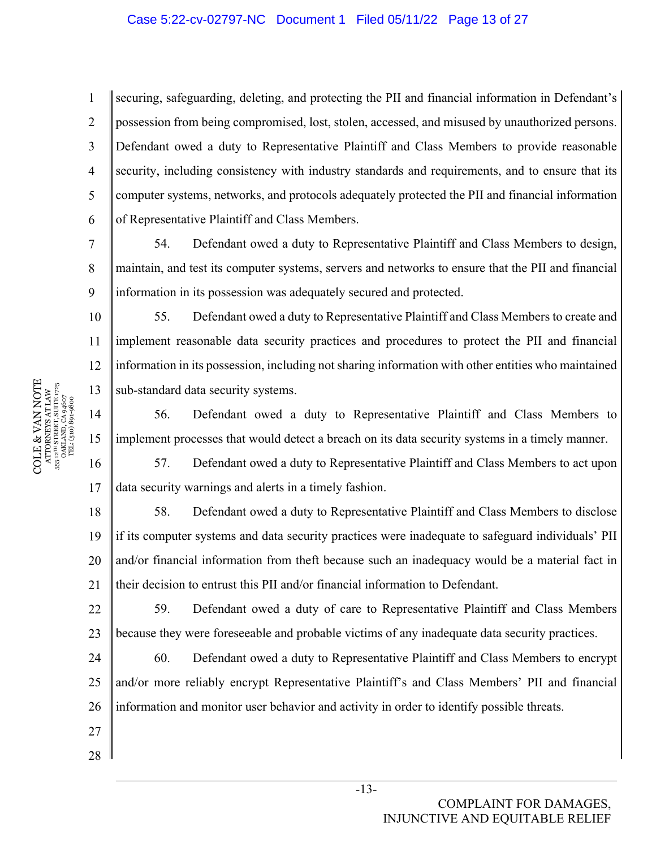#### Case 5:22-cv-02797-NC Document 1 Filed 05/11/22 Page 13 of 27

1 2 3 4 5 6 securing, safeguarding, deleting, and protecting the PII and financial information in Defendant's possession from being compromised, lost, stolen, accessed, and misused by unauthorized persons. Defendant owed a duty to Representative Plaintiff and Class Members to provide reasonable security, including consistency with industry standards and requirements, and to ensure that its computer systems, networks, and protocols adequately protected the PII and financial information of Representative Plaintiff and Class Members.

54. Defendant owed a duty to Representative Plaintiff and Class Members to design, maintain, and test its computer systems, servers and networks to ensure that the PII and financial information in its possession was adequately secured and protected.

10 11 12 13 55. Defendant owed a duty to Representative Plaintiff and Class Members to create and implement reasonable data security practices and procedures to protect the PII and financial information in its possession, including not sharing information with other entities who maintained sub-standard data security systems.

14 15 56. Defendant owed a duty to Representative Plaintiff and Class Members to implement processes that would detect a breach on its data security systems in a timely manner.

16 17 57. Defendant owed a duty to Representative Plaintiff and Class Members to act upon data security warnings and alerts in a timely fashion.

18 19 20 21 58. Defendant owed a duty to Representative Plaintiff and Class Members to disclose if its computer systems and data security practices were inadequate to safeguard individuals' PII and/or financial information from theft because such an inadequacy would be a material fact in their decision to entrust this PII and/or financial information to Defendant.

22 23 59. Defendant owed a duty of care to Representative Plaintiff and Class Members because they were foreseeable and probable victims of any inadequate data security practices.

24  $25$ 26 60. Defendant owed a duty to Representative Plaintiff and Class Members to encrypt and/or more reliably encrypt Representative Plaintiff's and Class Members' PII and financial information and monitor user behavior and activity in order to identify possible threats.

7

8

9

27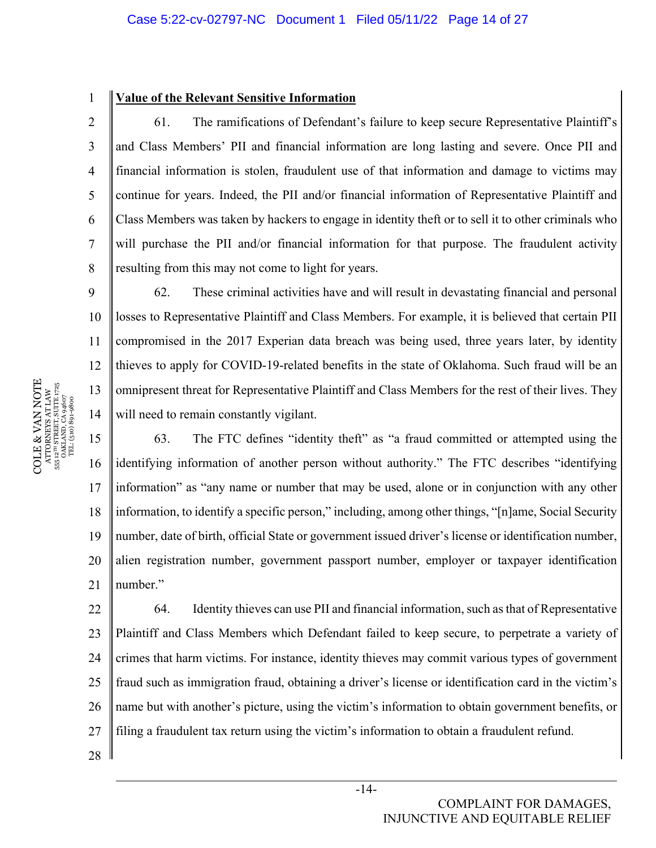### **Value of the Relevant Sensitive Information**

61. The ramifications of Defendant's failure to keep secure Representative Plaintiff's and Class Members' PII and financial information are long lasting and severe. Once PII and financial information is stolen, fraudulent use of that information and damage to victims may continue for years. Indeed, the PII and/or financial information of Representative Plaintiff and Class Members was taken by hackers to engage in identity theft or to sell it to other criminals who will purchase the PII and/or financial information for that purpose. The fraudulent activity resulting from this may not come to light for years.

14 62. These criminal activities have and will result in devastating financial and personal losses to Representative Plaintiff and Class Members. For example, it is believed that certain PII compromised in the 2017 Experian data breach was being used, three years later, by identity thieves to apply for COVID-19-related benefits in the state of Oklahoma. Such fraud will be an omnipresent threat for Representative Plaintiff and Class Members for the rest of their lives. They will need to remain constantly vigilant.

15 16 17 18 19 20 21 63. The FTC defines "identity theft" as "a fraud committed or attempted using the identifying information of another person without authority." The FTC describes "identifying information" as "any name or number that may be used, alone or in conjunction with any other information, to identify a specific person," including, among other things, "[n]ame, Social Security number, date of birth, official State or government issued driver's license or identification number, alien registration number, government passport number, employer or taxpayer identification number."

22 23 24 25 26 27 64. Identity thieves can use PII and financial information, such as that of Representative Plaintiff and Class Members which Defendant failed to keep secure, to perpetrate a variety of crimes that harm victims. For instance, identity thieves may commit various types of government fraud such as immigration fraud, obtaining a driver's license or identification card in the victim's name but with another's picture, using the victim's information to obtain government benefits, or filing a fraudulent tax return using the victim's information to obtain a fraudulent refund.

28

 $\begin{array}{c} \text{COLE} \& \text{VAN NOTE} \\\text{ATTORNENS AT LAW} \\\text{s5: } \text{a}^{\text{un} \text{SRREITS}} \text{ SUTE} \text{ J75} \\\text{s5: } \text{a}^{\text{un} \text{SRREITS}} \text{ SUTE} \text{ J75} \\\text{s5: } \text{a}^{\text{un} \text{S}} \text{J81} \text{J81} \text{J83} \\\text{J72} \\\text{T2} \text{L} \text{(510)} \text{S0} \text{9} \text{4607} \end{array}$ COLE & VAN NOTE 555 12TH STREET, SUITE 1725 ATTORNEYS AT LAW OAKLAND, CA 94607 TEL: (510) 891-9800 1

2

3

4

5

6

7

8

9

10

11

12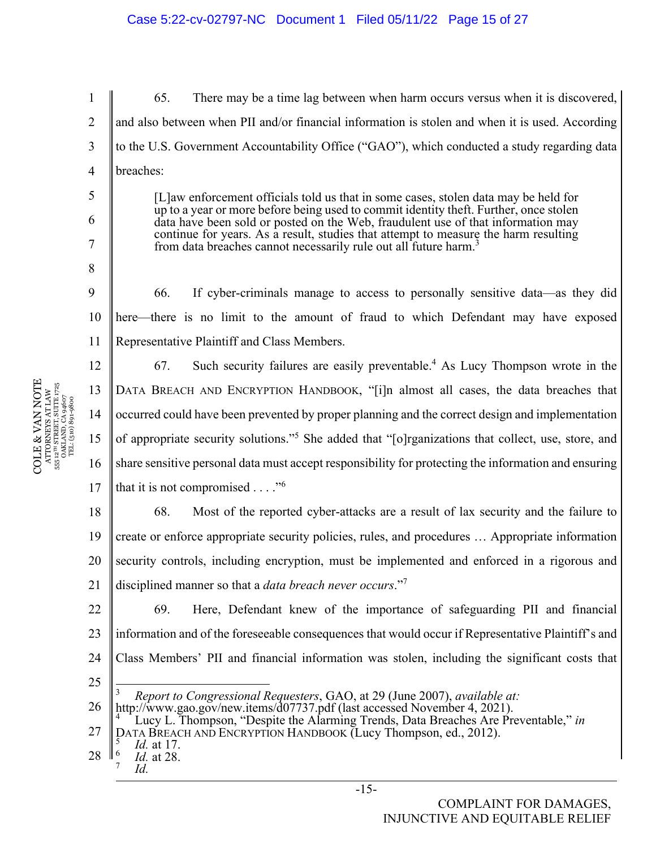1 2 3 4 65. There may be a time lag between when harm occurs versus when it is discovered, and also between when PII and/or financial information is stolen and when it is used. According to the U.S. Government Accountability Office ("GAO"), which conducted a study regarding data breaches:

> [L]aw enforcement officials told us that in some cases, stolen data may be held for up to a year or more before being used to commit identity theft. Further, once stolen data have been sold or posted on the Web, fraudulent use of that information may continue for years. As a result, studies that attempt to measure the harm resulting from data breaches cannot necessarily rule out all future harm.<sup>3</sup>

10 11 66. If cyber-criminals manage to access to personally sensitive data—as they did here—there is no limit to the amount of fraud to which Defendant may have exposed Representative Plaintiff and Class Members.

12 13 14 15 16 17 67. Such security failures are easily preventable.<sup>4</sup> As Lucy Thompson wrote in the DATA BREACH AND ENCRYPTION HANDBOOK, "[i]n almost all cases, the data breaches that occurred could have been prevented by proper planning and the correct design and implementation of appropriate security solutions."<sup>5</sup> She added that "[o]rganizations that collect, use, store, and share sensitive personal data must accept responsibility for protecting the information and ensuring that it is not compromised  $\dots$ ."<sup>6</sup>

18 19 20 21 68. Most of the reported cyber-attacks are a result of lax security and the failure to create or enforce appropriate security policies, rules, and procedures … Appropriate information security controls, including encryption, must be implemented and enforced in a rigorous and disciplined manner so that a *data breach never occurs*."7

22 23 24 69. Here, Defendant knew of the importance of safeguarding PII and financial information and of the foreseeable consequences that would occur if Representative Plaintiff's and Class Members' PII and financial information was stolen, including the significant costs that

25

<sup>3</sup> *Report to Congressional Requesters*, GAO, at 29 (June 2007), *available at:*

26 http://www.gao.gov/new.items/d07737.pdf (last accessed November 4, 2021).<br><sup>4</sup> Lucy L. Thompson, "Despite the Alarming Trends, Data Breaches Are Pre

COLE & VAN NOTE  $\begin{array}{c} \tt ATTORNHS~ATLAW \\ \tt S55~12^{10}~STREIT, SUTER~1725 \\ \tt S51~2^{11}~STREIT, SUTER~1725 \\ \tt DAKLAND, CA\,94607 \\ \tt TEL: (510)~801-9800 \end{array}$ COLE & VAN NOTE 555 12TH STREET, SUITE 1725 ATTORNEYS AT LAW OAKLAND, CA 94607 TEL: (510) 891-9800

5

6

7

8

Lucy L. Thompson, "Despite the Alarming Trends, Data Breaches Are Preventable," *in* 

<sup>27</sup>  DATA BREACH AND ENCRYPTION HANDBOOK (Lucy Thompson, ed., 2012).

<sup>28</sup>   *Id.* at 17. 6  *Id.* at 28.

<sup>7</sup>  *Id.*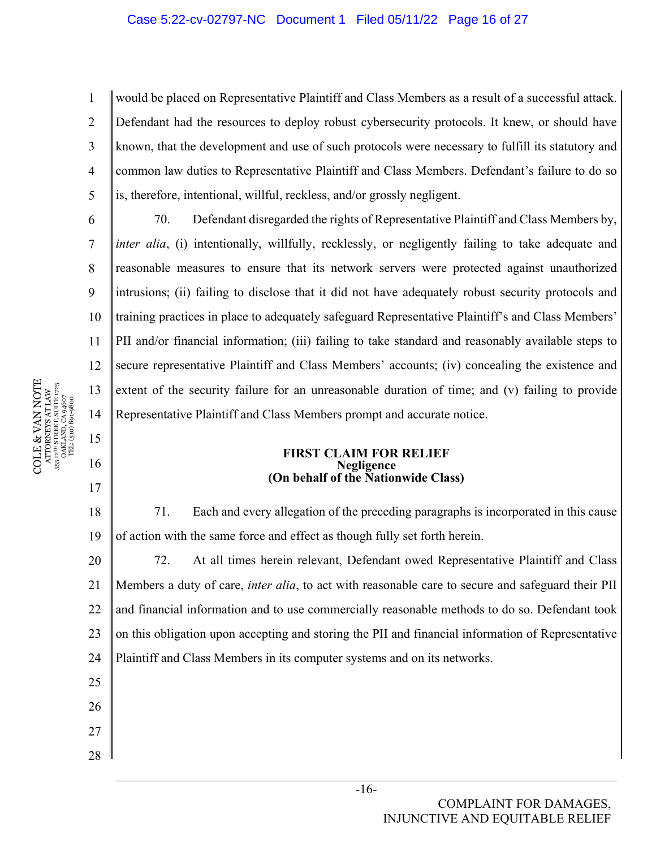1 2 3 4 5 would be placed on Representative Plaintiff and Class Members as a result of a successful attack. Defendant had the resources to deploy robust cybersecurity protocols. It knew, or should have known, that the development and use of such protocols were necessary to fulfill its statutory and common law duties to Representative Plaintiff and Class Members. Defendant's failure to do so is, therefore, intentional, willful, reckless, and/or grossly negligent.

10 11 12 13 14 70. Defendant disregarded the rights of Representative Plaintiff and Class Members by, *inter alia*, (*i*) intentionally, willfully, recklessly, or negligently failing to take adequate and reasonable measures to ensure that its network servers were protected against unauthorized intrusions; (ii) failing to disclose that it did not have adequately robust security protocols and training practices in place to adequately safeguard Representative Plaintiff's and Class Members' PII and/or financial information; (iii) failing to take standard and reasonably available steps to secure representative Plaintiff and Class Members' accounts; (iv) concealing the existence and extent of the security failure for an unreasonable duration of time; and (v) failing to provide Representative Plaintiff and Class Members prompt and accurate notice.

#### **FIRST CLAIM FOR RELIEF Negligence (On behalf of the Nationwide Class)**

18 19 71. Each and every allegation of the preceding paragraphs is incorporated in this cause of action with the same force and effect as though fully set forth herein.

20 21 22 23 24 72. At all times herein relevant, Defendant owed Representative Plaintiff and Class Members a duty of care, *inter alia*, to act with reasonable care to secure and safeguard their PII and financial information and to use commercially reasonable methods to do so. Defendant took on this obligation upon accepting and storing the PII and financial information of Representative Plaintiff and Class Members in its computer systems and on its networks.

COLE & VAN NOTE  $\begin{array}{c} {\text{ATTORNERS AT LAW}} \\ 55\,\,12^{78}\,\, \text{STRERT, SUTER}\,\, 1725 \\ \text{OAKLAND, CA 94607} \\ \text{TEL: (510)}\,\,891\text{-}9800 \end{array}$ COLE & VAN NOTE 555 12TH STREET, SUITE 1725 ATTORNEYS AT LAW OAKLAND, CA 94607 TEL: (510) 891-9800

6

7

8

9

15

16

17

25

26

27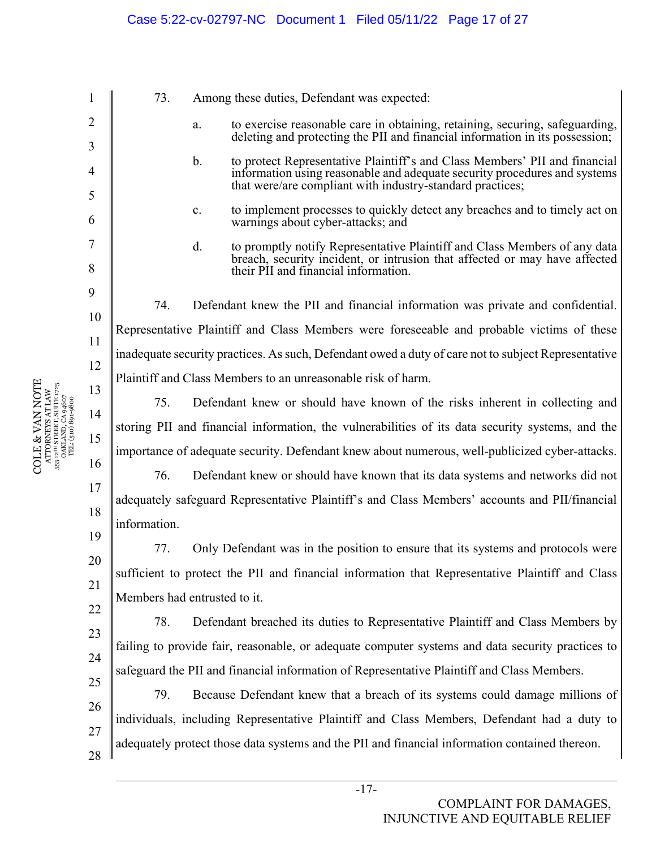73. Among these duties, Defendant was expected:

- a. to exercise reasonable care in obtaining, retaining, securing, safeguarding, deleting and protecting the PII and financial information in its possession;
- b. to protect Representative Plaintiff's and Class Members' PII and financial information using reasonable and adequate security procedures and systems that were/are compliant with industry-standard practices;
- c. to implement processes to quickly detect any breaches and to timely act on warnings about cyber-attacks; and
- d. to promptly notify Representative Plaintiff and Class Members of any data breach, security incident, or intrusion that affected or may have affected their PII and financial information.

74. Defendant knew the PII and financial information was private and confidential. Representative Plaintiff and Class Members were foreseeable and probable victims of these inadequate security practices. As such, Defendant owed a duty of care not to subject Representative Plaintiff and Class Members to an unreasonable risk of harm.

75. Defendant knew or should have known of the risks inherent in collecting and storing PII and financial information, the vulnerabilities of its data security systems, and the importance of adequate security. Defendant knew about numerous, well-publicized cyber-attacks.

19 76. Defendant knew or should have known that its data systems and networks did not adequately safeguard Representative Plaintiff's and Class Members' accounts and PII/financial information.

77. Only Defendant was in the position to ensure that its systems and protocols were sufficient to protect the PII and financial information that Representative Plaintiff and Class Members had entrusted to it.

78. Defendant breached its duties to Representative Plaintiff and Class Members by failing to provide fair, reasonable, or adequate computer systems and data security practices to safeguard the PII and financial information of Representative Plaintiff and Class Members.

26 27 28 79. Because Defendant knew that a breach of its systems could damage millions of individuals, including Representative Plaintiff and Class Members, Defendant had a duty to adequately protect those data systems and the PII and financial information contained thereon.

COLE & VAN NOTE  $\begin{array}{c} \tt ATTORNHS~ATLAW \\ \tt S55~12^{10}~STREIT, SUTER~1725 \\ \tt S51~2^{11}~STREIT, SUTER~1725 \\ \tt DAKLAND, CA\,94607 \\ \tt TEL: (510)~801-9800 \end{array}$ COLE & VAN NOTE 555 12TH STREET, SUITE 1725 ATTORNEYS AT LAW OAKLAND, CA 94607 TEL: (510) 891-9800

1

2

3

4

5

6

7

8

9

10

11

12

13

14

15

16

17

18

20

21

22

23

24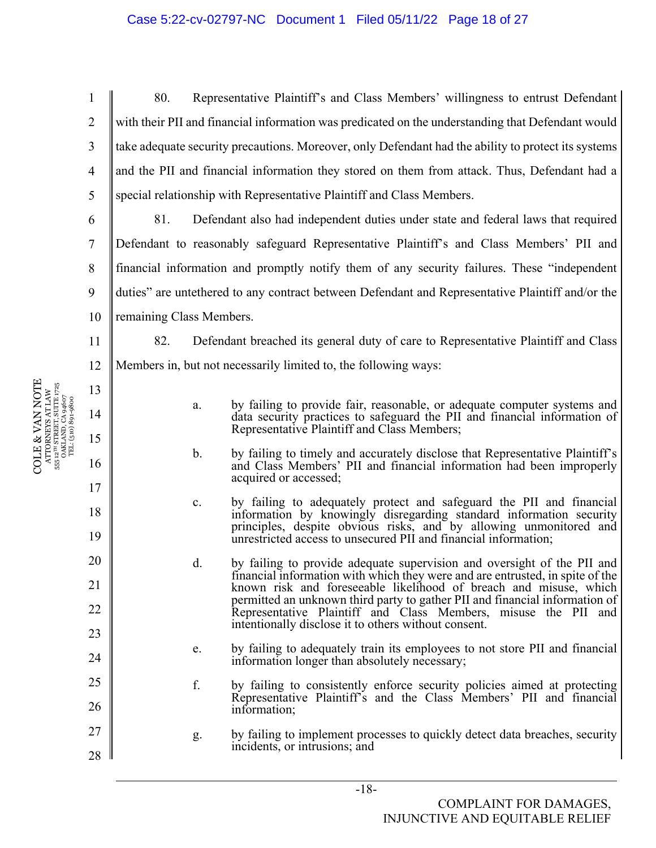1 2 3 4 5 80. Representative Plaintiff's and Class Members' willingness to entrust Defendant with their PII and financial information was predicated on the understanding that Defendant would take adequate security precautions. Moreover, only Defendant had the ability to protect its systems and the PII and financial information they stored on them from attack. Thus, Defendant had a special relationship with Representative Plaintiff and Class Members.

6 7 8 9 10 81. Defendant also had independent duties under state and federal laws that required Defendant to reasonably safeguard Representative Plaintiff's and Class Members' PII and financial information and promptly notify them of any security failures. These "independent duties" are untethered to any contract between Defendant and Representative Plaintiff and/or the remaining Class Members.

82. Defendant breached its general duty of care to Representative Plaintiff and Class Members in, but not necessarily limited to, the following ways:

- a. by failing to provide fair, reasonable, or adequate computer systems and data security practices to safeguard the PII and financial information of Representative Plaintiff and Class Members;
- b. by failing to timely and accurately disclose that Representative Plaintiff's and Class Members' PII and financial information had been improperly acquired or accessed;
- c. by failing to adequately protect and safeguard the PII and financial information by knowingly disregarding standard information security principles, despite obvious risks, and by allowing unmonitored and unrestricted access to unsecured PII and financial information;
- d. by failing to provide adequate supervision and oversight of the PII and financial information with which they were and are entrusted, in spite of the known risk and foreseeable likelihood of breach and misuse, which permitted an unknown third party to gather PII and financial information of Representative Plaintiff and Class Members, misuse the PII and intentionally disclose it to others without consent.
- e. by failing to adequately train its employees to not store PII and financial information longer than absolutely necessary;
- f. by failing to consistently enforce security policies aimed at protecting Representative Plaintiff's and the Class Members' PII and financial information;
- g. by failing to implement processes to quickly detect data breaches, security incidents, or intrusions; and

11

12

13

14

15

16

17

18

19

20

21

22

23

24

25

26

27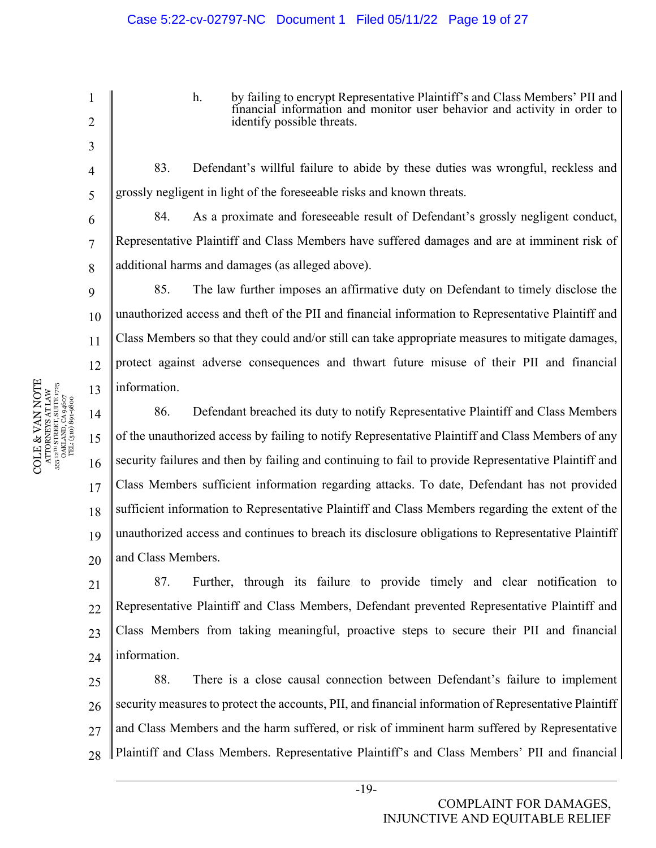h. by failing to encrypt Representative Plaintiff's and Class Members' PII and financial information and monitor user behavior and activity in order to identify possible threats.

83. Defendant's willful failure to abide by these duties was wrongful, reckless and grossly negligent in light of the foreseeable risks and known threats.

84. As a proximate and foreseeable result of Defendant's grossly negligent conduct, Representative Plaintiff and Class Members have suffered damages and are at imminent risk of additional harms and damages (as alleged above).

85. The law further imposes an affirmative duty on Defendant to timely disclose the unauthorized access and theft of the PII and financial information to Representative Plaintiff and Class Members so that they could and/or still can take appropriate measures to mitigate damages, protect against adverse consequences and thwart future misuse of their PII and financial information.

14 15 16 17 18 19 20 86. Defendant breached its duty to notify Representative Plaintiff and Class Members of the unauthorized access by failing to notify Representative Plaintiff and Class Members of any security failures and then by failing and continuing to fail to provide Representative Plaintiff and Class Members sufficient information regarding attacks. To date, Defendant has not provided sufficient information to Representative Plaintiff and Class Members regarding the extent of the unauthorized access and continues to breach its disclosure obligations to Representative Plaintiff and Class Members.

21  $22$ 23 24 87. Further, through its failure to provide timely and clear notification to Representative Plaintiff and Class Members, Defendant prevented Representative Plaintiff and Class Members from taking meaningful, proactive steps to secure their PII and financial information.

25 26 27 28 88. There is a close causal connection between Defendant's failure to implement security measures to protect the accounts, PII, and financial information of Representative Plaintiff and Class Members and the harm suffered, or risk of imminent harm suffered by Representative Plaintiff and Class Members. Representative Plaintiff's and Class Members' PII and financial

 $\begin{array}{c} \text{COLE} \& \text{VAN NOTE} \\\text{ATTORNENS AT LAW} \\\text{s5: } \text{a}^{\text{un} \text{SRREITS}} \text{ SUTE} \text{ J75} \\\text{s5: } \text{a}^{\text{un} \text{SRREITS}} \text{ SUTE} \text{ J75} \\\text{s5: } \text{a}^{\text{un} \text{S}} \text{J81} \text{J81} \text{J83} \\\text{J72} \\\text{T2} \text{L} \text{(510)} \text{S0} \text{9} \text{4607} \end{array}$ COLE & VAN NOTE 555 12TH STREET, SUITE 1725 ATTORNEYS AT LAW OAKLAND, CA 94607 TEL: (510) 891-9800 1

2

3

4

5

6

7

8

9

10

11

12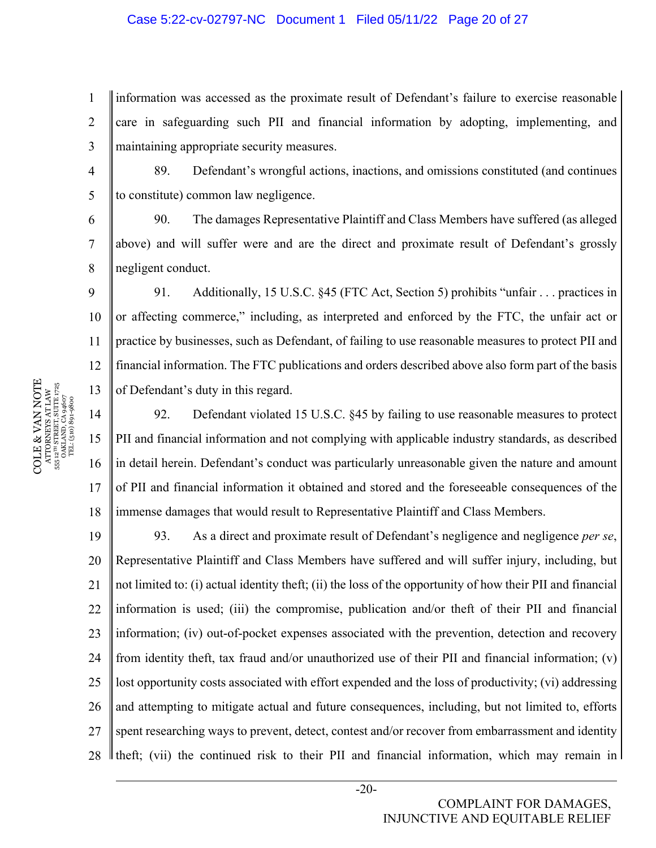#### Case 5:22-cv-02797-NC Document 1 Filed 05/11/22 Page 20 of 27

1 2 3 information was accessed as the proximate result of Defendant's failure to exercise reasonable care in safeguarding such PII and financial information by adopting, implementing, and maintaining appropriate security measures.

89. Defendant's wrongful actions, inactions, and omissions constituted (and continues to constitute) common law negligence.

90. The damages Representative Plaintiff and Class Members have suffered (as alleged above) and will suffer were and are the direct and proximate result of Defendant's grossly negligent conduct.

10 11 12 13 91. Additionally, 15 U.S.C. §45 (FTC Act, Section 5) prohibits "unfair . . . practices in or affecting commerce," including, as interpreted and enforced by the FTC, the unfair act or practice by businesses, such as Defendant, of failing to use reasonable measures to protect PII and financial information. The FTC publications and orders described above also form part of the basis of Defendant's duty in this regard.

14 15 16 17 18 92. Defendant violated 15 U.S.C. §45 by failing to use reasonable measures to protect PII and financial information and not complying with applicable industry standards, as described in detail herein. Defendant's conduct was particularly unreasonable given the nature and amount of PII and financial information it obtained and stored and the foreseeable consequences of the immense damages that would result to Representative Plaintiff and Class Members.

19 20 21 22 23 24 25 26 27 28 93. As a direct and proximate result of Defendant's negligence and negligence *per se*, Representative Plaintiff and Class Members have suffered and will suffer injury, including, but not limited to: (i) actual identity theft; (ii) the loss of the opportunity of how their PII and financial information is used; (iii) the compromise, publication and/or theft of their PII and financial information; (iv) out-of-pocket expenses associated with the prevention, detection and recovery from identity theft, tax fraud and/or unauthorized use of their PII and financial information; (v) lost opportunity costs associated with effort expended and the loss of productivity; (vi) addressing and attempting to mitigate actual and future consequences, including, but not limited to, efforts spent researching ways to prevent, detect, contest and/or recover from embarrassment and identity If the fit, (vii) the continued risk to their PII and financial information, which may remain in

 $\begin{array}{c} \text{COLE} \& \text{VAN NOTE} \\\text{ATTORNENS AT LAW} \\\text{s5: } \text{a}^{\text{un} \text{SRREITS}} \text{ SUTE} \text{ J75} \\\text{s5: } \text{a}^{\text{un} \text{SRREITS}} \text{ SUTE} \text{ J75} \\\text{s5: } \text{a}^{\text{un} \text{S}} \text{J81} \text{J81} \text{J83} \\\text{J72} \\\text{T2} \text{L} \text{(510)} \text{S0} \text{9} \text{4607} \end{array}$ COLE & VAN NOTE 555 12TH STREET, SUITE 1725 ATTORNEYS AT LAW OAKLAND, CA 94607 TEL: (510) 891-9800 4

5

6

7

8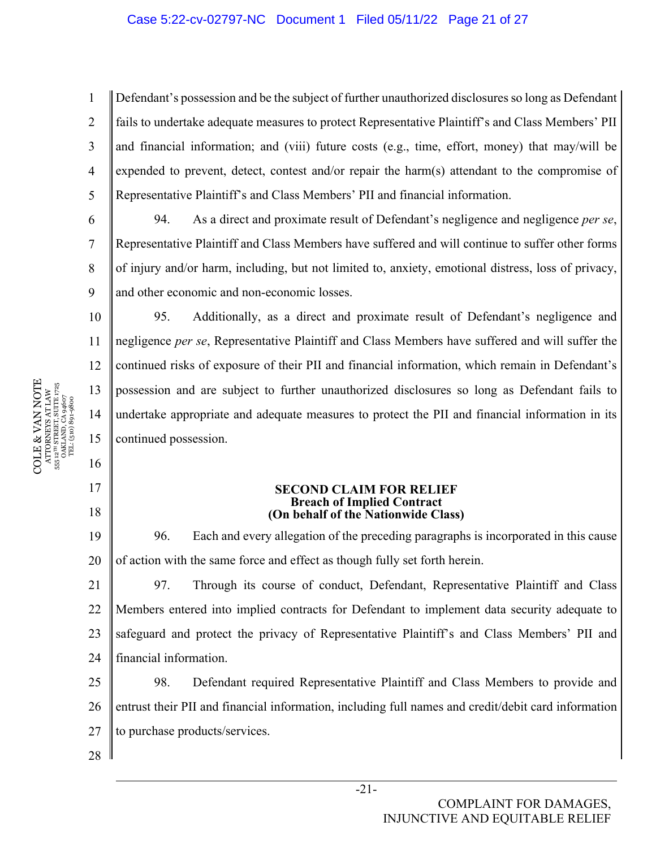#### Case 5:22-cv-02797-NC Document 1 Filed 05/11/22 Page 21 of 27

1 2 3 4 5 Defendant's possession and be the subject of further unauthorized disclosures so long as Defendant fails to undertake adequate measures to protect Representative Plaintiff's and Class Members' PII and financial information; and (viii) future costs (e.g., time, effort, money) that may/will be expended to prevent, detect, contest and/or repair the harm(s) attendant to the compromise of Representative Plaintiff's and Class Members' PII and financial information.

94. As a direct and proximate result of Defendant's negligence and negligence *per se*, Representative Plaintiff and Class Members have suffered and will continue to suffer other forms of injury and/or harm, including, but not limited to, anxiety, emotional distress, loss of privacy, and other economic and non-economic losses.

10 11 12 13 14 15 95. Additionally, as a direct and proximate result of Defendant's negligence and negligence *per se*, Representative Plaintiff and Class Members have suffered and will suffer the continued risks of exposure of their PII and financial information, which remain in Defendant's possession and are subject to further unauthorized disclosures so long as Defendant fails to undertake appropriate and adequate measures to protect the PII and financial information in its continued possession.

#### **SECOND CLAIM FOR RELIEF Breach of Implied Contract (On behalf of the Nationwide Class)**

19 20 96. Each and every allegation of the preceding paragraphs is incorporated in this cause of action with the same force and effect as though fully set forth herein.

21 22 23 24 97. Through its course of conduct, Defendant, Representative Plaintiff and Class Members entered into implied contracts for Defendant to implement data security adequate to safeguard and protect the privacy of Representative Plaintiff's and Class Members' PII and financial information.

25 26 27 98. Defendant required Representative Plaintiff and Class Members to provide and entrust their PII and financial information, including full names and credit/debit card information to purchase products/services.

28

COLE & VAN NOTE  $\begin{array}{c} {\text{ATTORNEXS AT LAW}} \\ 555 \text{ } 12^{\text{7H}} \text{ } \text{STRERT, } \text{SUTE } 1725 \\ \text{OAKLAND, CA 94607} \\ \text{TEL: (510) 891-9800} \end{array}$ COLE & VAN NOTE 555 12TH STREET, SUITE 1725 ATTORNEYS AT LAW OAKLAND, CA 94607 TEL: (510) 891-9800 555

6

7

8

9

16

17

18

# -21-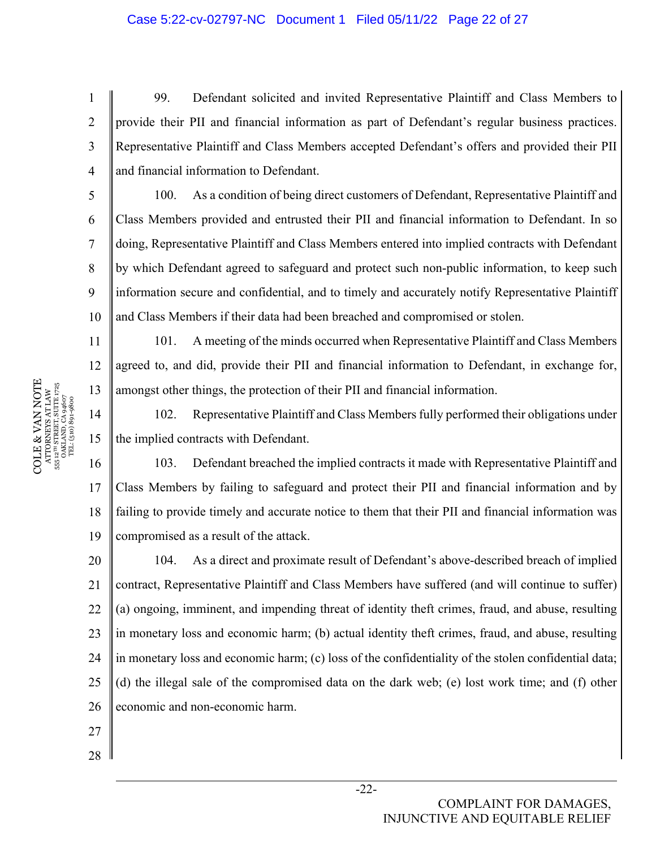4 99. Defendant solicited and invited Representative Plaintiff and Class Members to provide their PII and financial information as part of Defendant's regular business practices. Representative Plaintiff and Class Members accepted Defendant's offers and provided their PII and financial information to Defendant.

10 100. As a condition of being direct customers of Defendant, Representative Plaintiff and Class Members provided and entrusted their PII and financial information to Defendant. In so doing, Representative Plaintiff and Class Members entered into implied contracts with Defendant by which Defendant agreed to safeguard and protect such non-public information, to keep such information secure and confidential, and to timely and accurately notify Representative Plaintiff and Class Members if their data had been breached and compromised or stolen.

101. A meeting of the minds occurred when Representative Plaintiff and Class Members agreed to, and did, provide their PII and financial information to Defendant, in exchange for, amongst other things, the protection of their PII and financial information.

14 102. Representative Plaintiff and Class Members fully performed their obligations under the implied contracts with Defendant.

16 17 18 19 103. Defendant breached the implied contracts it made with Representative Plaintiff and Class Members by failing to safeguard and protect their PII and financial information and by failing to provide timely and accurate notice to them that their PII and financial information was compromised as a result of the attack.

20 21 22 23 24 25 26 104. As a direct and proximate result of Defendant's above-described breach of implied contract, Representative Plaintiff and Class Members have suffered (and will continue to suffer) (a) ongoing, imminent, and impending threat of identity theft crimes, fraud, and abuse, resulting in monetary loss and economic harm; (b) actual identity theft crimes, fraud, and abuse, resulting in monetary loss and economic harm; (c) loss of the confidentiality of the stolen confidential data; (d) the illegal sale of the compromised data on the dark web; (e) lost work time; and (f) other economic and non-economic harm.

- 27
- 28

 $\begin{array}{c} \text{COLE} \& \text{VAN NOTE} \\\text{ATTORNENS AT LAW} \\\text{s5: } \text{a}^{\text{un} \text{SRREITS}} \text{ SUTE} \text{ J75} \\\text{s5: } \text{a}^{\text{un} \text{SRREITS}} \text{ SUTE} \text{ J75} \\\text{s5: } \text{a}^{\text{un} \text{S}} \text{J81} \text{J81} \text{J83} \\\text{J72} \\\text{T2} \text{L} \text{(510)} \text{S0} \text{9} \text{4607} \end{array}$ COLE & VAN NOTE 555 12TH STREET, SUITE 1725 ATTORNEYS AT LAW OAKLAND, CA 94607 TEL: (510) 891-9800 1

2

3

5

6

7

8

9

11

12

13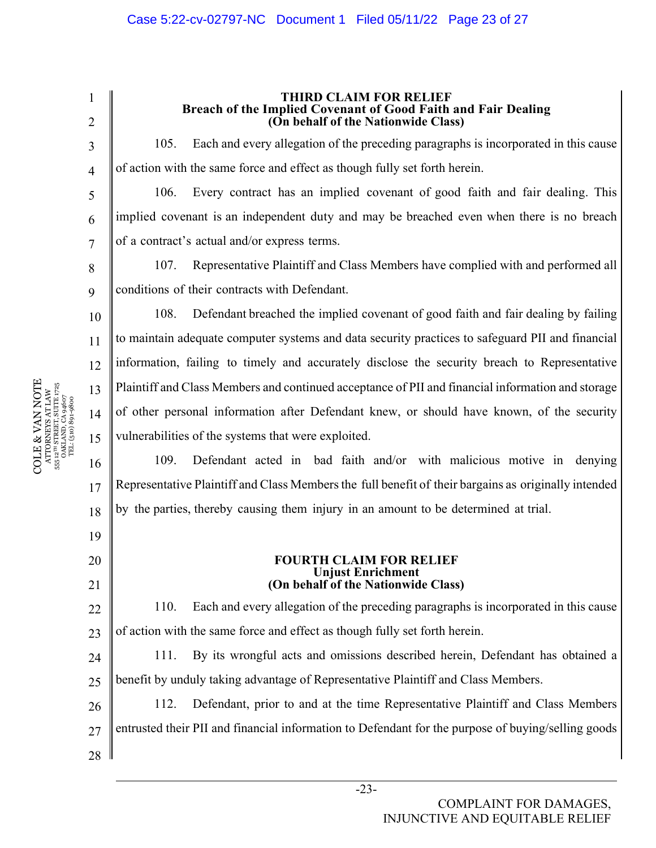1 2 3 4 5 6 7 8 9 10 11 12 13 14 15 16 17 18 19 20 21 22 23 24  $25$ **THIRD CLAIM FOR RELIEF Breach of the Implied Covenant of Good Faith and Fair Dealing (On behalf of the Nationwide Class)**  105. Each and every allegation of the preceding paragraphs is incorporated in this cause of action with the same force and effect as though fully set forth herein. 106. Every contract has an implied covenant of good faith and fair dealing. This implied covenant is an independent duty and may be breached even when there is no breach of a contract's actual and/or express terms. 107. Representative Plaintiff and Class Members have complied with and performed all conditions of their contracts with Defendant. 108. Defendant breached the implied covenant of good faith and fair dealing by failing to maintain adequate computer systems and data security practices to safeguard PII and financial information, failing to timely and accurately disclose the security breach to Representative Plaintiff and Class Members and continued acceptance of PII and financial information and storage of other personal information after Defendant knew, or should have known, of the security vulnerabilities of the systems that were exploited. 109. Defendant acted in bad faith and/or with malicious motive in denying Representative Plaintiff and Class Members the full benefit of their bargains as originally intended by the parties, thereby causing them injury in an amount to be determined at trial. **FOURTH CLAIM FOR RELIEF Unjust Enrichment (On behalf of the Nationwide Class)**  110. Each and every allegation of the preceding paragraphs is incorporated in this cause of action with the same force and effect as though fully set forth herein. 111. By its wrongful acts and omissions described herein, Defendant has obtained a benefit by unduly taking advantage of Representative Plaintiff and Class Members.

26 27 28 112. Defendant, prior to and at the time Representative Plaintiff and Class Members entrusted their PII and financial information to Defendant for the purpose of buying/selling goods

COLE & VAN NOTE  $\begin{array}{c} {\text{ATTORNEXS AT LAW}} \\ 555\text{ }12^{\text{7H}}\text{ STRERT, SUTE 1725} \\ 0\text{AKLAND, CA 94607} \\ \text{TEL: (510) 891-9800} \end{array}$ COLE & VAN NOTE 555 12TH STREET, SUITE 1725 ATTORNEYS AT LAW OAKLAND, CA 94607 TEL: (510) 891-9800 555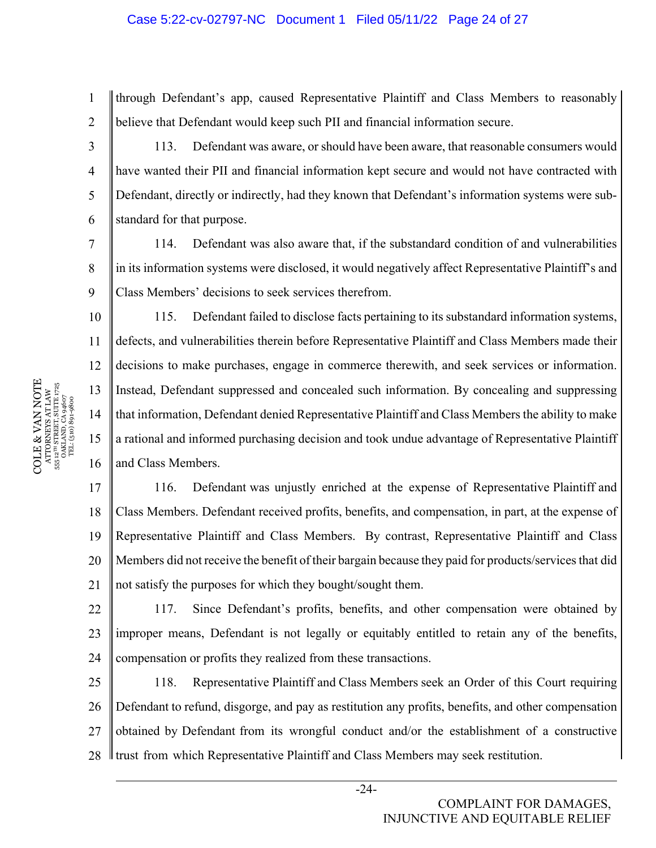#### Case 5:22-cv-02797-NC Document 1 Filed 05/11/22 Page 24 of 27

through Defendant's app, caused Representative Plaintiff and Class Members to reasonably believe that Defendant would keep such PII and financial information secure.

113. Defendant was aware, or should have been aware, that reasonable consumers would have wanted their PII and financial information kept secure and would not have contracted with Defendant, directly or indirectly, had they known that Defendant's information systems were substandard for that purpose.

114. Defendant was also aware that, if the substandard condition of and vulnerabilities in its information systems were disclosed, it would negatively affect Representative Plaintiff's and Class Members' decisions to seek services therefrom.

10 16 115. Defendant failed to disclose facts pertaining to its substandard information systems, defects, and vulnerabilities therein before Representative Plaintiff and Class Members made their decisions to make purchases, engage in commerce therewith, and seek services or information. Instead, Defendant suppressed and concealed such information. By concealing and suppressing that information, Defendant denied Representative Plaintiff and Class Members the ability to make a rational and informed purchasing decision and took undue advantage of Representative Plaintiff and Class Members.

17 18 19 20 21 116. Defendant was unjustly enriched at the expense of Representative Plaintiff and Class Members. Defendant received profits, benefits, and compensation, in part, at the expense of Representative Plaintiff and Class Members. By contrast, Representative Plaintiff and Class Members did not receive the benefit of their bargain because they paid for products/services that did not satisfy the purposes for which they bought/sought them.

 $22$ 23 24 117. Since Defendant's profits, benefits, and other compensation were obtained by improper means, Defendant is not legally or equitably entitled to retain any of the benefits, compensation or profits they realized from these transactions.

25 26 27 28 118. Representative Plaintiff and Class Members seek an Order of this Court requiring Defendant to refund, disgorge, and pay as restitution any profits, benefits, and other compensation obtained by Defendant from its wrongful conduct and/or the establishment of a constructive trust from which Representative Plaintiff and Class Members may seek restitution.

 $\begin{array}{c} \text{COLE} \& \text{VAN NOTE} \\\text{ATTORNENS AT LAW} \\\text{s5: } \text{a}^{\text{un} \text{SRREITS}} \text{ SUTE} \text{ J75} \\\text{s5: } \text{a}^{\text{un} \text{SRREITS}} \text{ SUTE} \text{ J75} \\\text{s5: } \text{a}^{\text{un} \text{S}} \text{J81} \text{J81} \text{J83} \\\text{J72} \\\text{T2} \text{L} \text{(510)} \text{S0} \text{9} \text{4607} \end{array}$ COLE & VAN NOTE 555 12TH STREET, SUITE 1725 ATTORNEYS AT LAW OAKLAND, CA 94607 TEL: (510) 891-9800 1

2

3

4

5

6

7

8

9

11

12

13

14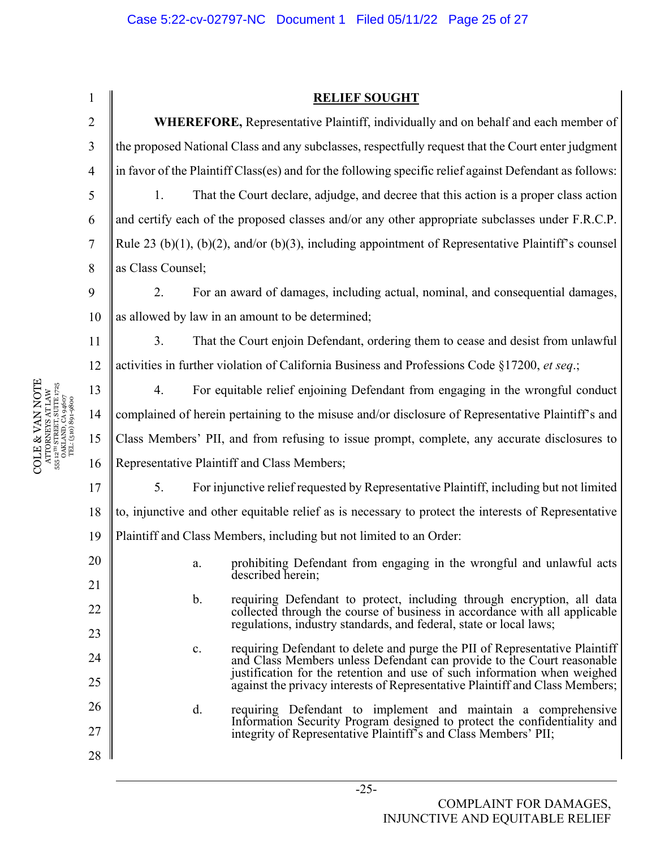1 2 3 4 5 6 7 8 9 10 11 12 13 14 15 16 17 18 19 20 21 22 23 24 25 26 27 28 **RELIEF SOUGHT WHEREFORE,** Representative Plaintiff, individually and on behalf and each member of the proposed National Class and any subclasses, respectfully request that the Court enter judgment in favor of the Plaintiff Class(es) and for the following specific relief against Defendant as follows: 1. That the Court declare, adjudge, and decree that this action is a proper class action and certify each of the proposed classes and/or any other appropriate subclasses under F.R.C.P. Rule 23 (b)(1), (b)(2), and/or (b)(3), including appointment of Representative Plaintiff's counsel as Class Counsel; 2. For an award of damages, including actual, nominal, and consequential damages, as allowed by law in an amount to be determined; 3. That the Court enjoin Defendant, ordering them to cease and desist from unlawful activities in further violation of California Business and Professions Code §17200, *et seq*.; 4. For equitable relief enjoining Defendant from engaging in the wrongful conduct complained of herein pertaining to the misuse and/or disclosure of Representative Plaintiff's and Class Members' PII, and from refusing to issue prompt, complete, any accurate disclosures to Representative Plaintiff and Class Members; 5. For injunctive relief requested by Representative Plaintiff, including but not limited to, injunctive and other equitable relief as is necessary to protect the interests of Representative Plaintiff and Class Members, including but not limited to an Order: a. prohibiting Defendant from engaging in the wrongful and unlawful acts described herein; b. requiring Defendant to protect, including through encryption, all data collected through the course of business in accordance with all applicable regulations, industry standards, and federal, state or local laws; c. requiring Defendant to delete and purge the PII of Representative Plaintiff and Class Members unless Defendant can provide to the Court reasonable justification for the retention and use of such information when weighed against the privacy interests of Representative Plaintiff and Class Members; d. requiring Defendant to implement and maintain a comprehensive Information Security Program designed to protect the confidentiality and integrity of Representative Plaintiff's and Class Members' PII;

COLE & VAN NOTE ATTORNEYS AT LAW 555 12TH STREET, SUITE 1725 OAKLAND, CA 94607 TEL: (510) 891-9800

COLE & VAN NOTE

 $\begin{array}{c} \text{ATTORNEXS AT LAW} \\ \text{555 } 12^{\text{1H}} \text{ STRERT, SUTE } 1725 \\ \text{OAKLAND, CA } 94607 \\ \text{TEL: (510)} \text{891-9800} \end{array}$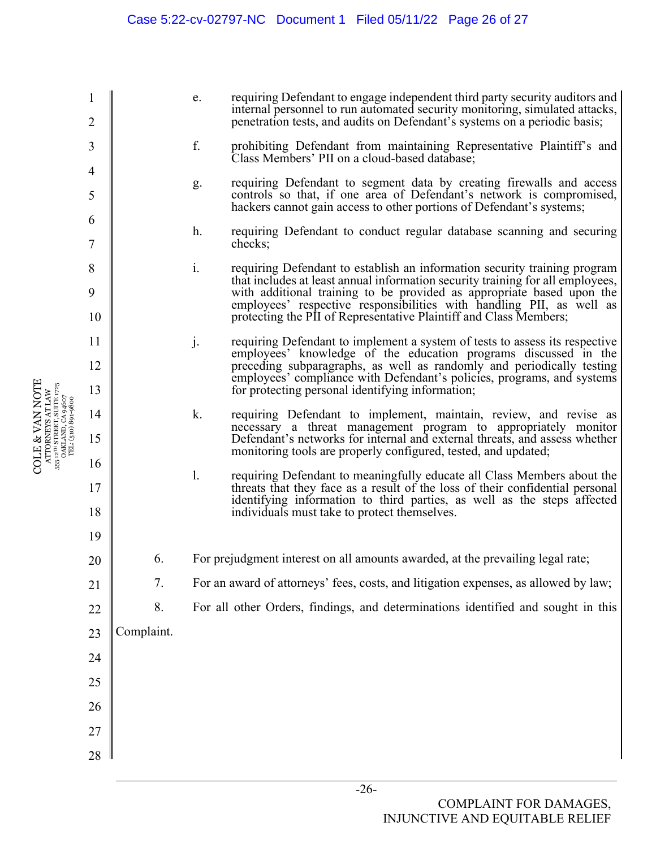1 2 3 4 5 6 7 8 9 10 11 12 13 14 15 16 17 18 19 20 21 22 23 24 25 26 27 28 e. requiring Defendant to engage independent third party security auditors and internal personnel to run automated security monitoring, simulated attacks, penetration tests, and audits on Defendant's systems on a periodic basis; f. prohibiting Defendant from maintaining Representative Plaintiff's and Class Members' PII on a cloud-based database; g. requiring Defendant to segment data by creating firewalls and access controls so that, if one area of Defendant's network is compromised, hackers cannot gain access to other portions of Defendant's systems; h. requiring Defendant to conduct regular database scanning and securing checks; i. requiring Defendant to establish an information security training program that includes at least annual information security training for all employees, with additional training to be provided as appropriate based upon the employees' respective responsibilities with handling PII, as well as protecting the PII of Representative Plaintiff and Class Members; j. requiring Defendant to implement a system of tests to assess its respective employees' knowledge of the education programs discussed in the preceding subparagraphs, as well as randomly and periodically testing employees' compliance with Defendant's policies, programs, and systems for protecting personal identifying information; k. requiring Defendant to implement, maintain, review, and revise as necessary a threat management program to appropriately monitor Defendant's networks for internal and external threats, and assess whether monitoring tools are properly configured, tested, and updated; l. requiring Defendant to meaningfully educate all Class Members about the threats that they face as a result of the loss of their confidential personal identifying information to third parties, as well as the steps affected individuals must take to protect themselves. 6. For prejudgment interest on all amounts awarded, at the prevailing legal rate; 7. For an award of attorneys' fees, costs, and litigation expenses, as allowed by law; 8. For all other Orders, findings, and determinations identified and sought in this Complaint.

COLE & VAN NOTE ATTORNEYS AT LAW 555 12TH STREET, SUITE 1725 OAKLAND, CA 94607 TEL: (510) 891-9800

**COLE & VAN NOTE** 

 $\begin{array}{c} \text{ATTORNRYSS AT LAW} \\ \text{555 } \text{12}^{\text{7H}} \text{ STRERT, SUTE } \text{1725} \\ \text{OAKLAND, CA 94607} \\ \text{TEL: (510)} \text{891-9800} \end{array}$